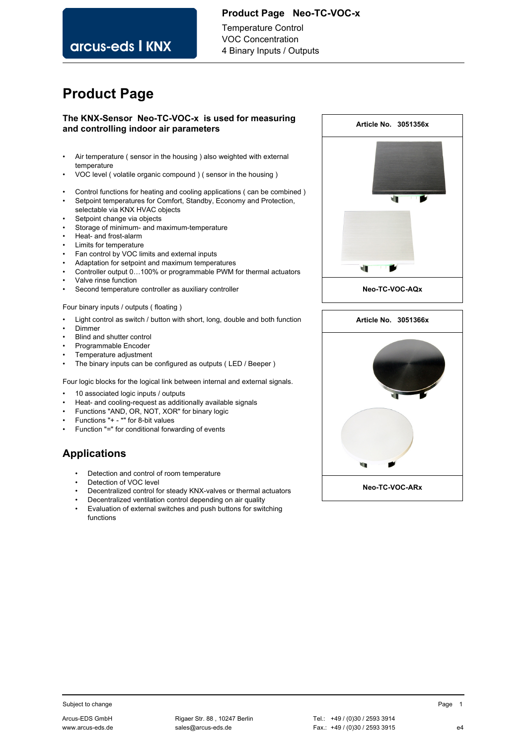### **Product Page Neo-TC-VOC-x**

arcus-eds I KNX

Temperature Control VOC Concentration 4 Binary Inputs / Outputs

# **Product Page**

### **The KNX-Sensor Neo-TC-VOC-x is used for measuring and controlling indoor air parameters**

- Air temperature ( sensor in the housing ) also weighted with external temperature
- VOC level ( volatile organic compound ) ( sensor in the housing )
- Control functions for heating and cooling applications ( can be combined )
- Setpoint temperatures for Comfort, Standby, Economy and Protection, selectable via KNX HVAC objects
- Setpoint change via objects
- Storage of minimum- and maximum-temperature
- Heat- and frost-alarm
- Limits for temperature
- Fan control by VOC limits and external inputs
- Adaptation for setpoint and maximum temperatures
- Controller output 0…100% or programmable PWM for thermal actuators
- Valve rinse function
- Second temperature controller as auxiliary controller
- Four binary inputs / outputs ( floating )
- Light control as switch / button with short, long, double and both function
- Dimmer
- Blind and shutter control
- Programmable Encoder
- Temperature adjustment
- The binary inputs can be configured as outputs ( LED / Beeper )

Four logic blocks for the logical link between internal and external signals.

- 10 associated logic inputs / outputs
- Heat- and cooling-request as additionally available signals
- Functions "AND, OR, NOT, XOR" for binary logic
- Functions "+ \*" for 8-bit values
- Function "=" for conditional forwarding of events

# **Applications**

- Detection and control of room temperature
- Detection of VOC level
- Decentralized control for steady KNX-valves or thermal actuators
- Decentralized ventilation control depending on air quality
- Evaluation of external switches and push buttons for switching functions



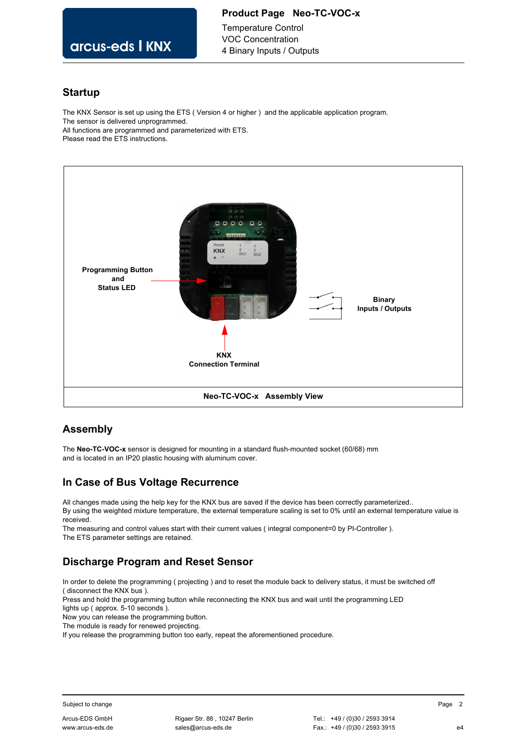### **Product Page Neo-TC-VOC-x**

arcus-eds I KNX

### Temperature Control VOC Concentration 4 Binary Inputs / Outputs

### **Startup**

The KNX Sensor is set up using the ETS ( Version 4 or higher ) and the applicable application program. The sensor is delivered unprogrammed. All functions are programmed and parameterized with ETS. Please read the ETS instructions.



# **Assembly**

The **Neo-TC-VOC-x** sensor is designed for mounting in a standard flush-mounted socket (60/68) mm and is located in an IP20 plastic housing with aluminum cover.

# **In Case of Bus Voltage Recurrence**

All changes made using the help key for the KNX bus are saved if the device has been correctly parameterized.. By using the weighted mixture temperature, the external temperature scaling is set to 0% until an external temperature value is received.

The measuring and control values start with their current values ( integral component=0 by PI-Controller ). The ETS parameter settings are retained.

# **Discharge Program and Reset Sensor**

In order to delete the programming ( projecting ) and to reset the module back to delivery status, it must be switched off ( disconnect the KNX bus ).

Press and hold the programming button while reconnecting the KNX bus and wait until the programming LED

lights up ( approx. 5-10 seconds ).

Now you can release the programming button.

The module is ready for renewed projecting.

If you release the programming button too early, repeat the aforementioned procedure.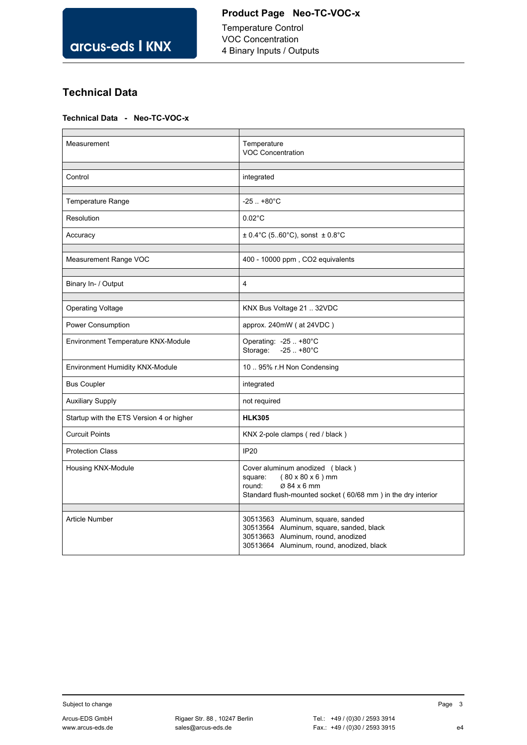Temperature Control VOC Concentration 4 Binary Inputs / Outputs

# **Technical Data**

### **Technical Data - Neo-TC-VOC-x**

| Measurement                              | Temperature<br><b>VOC Concentration</b>                                                                                                                             |
|------------------------------------------|---------------------------------------------------------------------------------------------------------------------------------------------------------------------|
| Control                                  | integrated                                                                                                                                                          |
|                                          |                                                                                                                                                                     |
| Temperature Range                        | $-25$ $+80^{\circ}$ C                                                                                                                                               |
| Resolution                               | $0.02^{\circ}$ C                                                                                                                                                    |
| Accuracy                                 | $\pm$ 0.4°C (560°C), sonst $\pm$ 0.8°C                                                                                                                              |
| Measurement Range VOC                    | 400 - 10000 ppm, CO2 equivalents                                                                                                                                    |
|                                          |                                                                                                                                                                     |
| Binary In- / Output                      | $\overline{4}$                                                                                                                                                      |
|                                          |                                                                                                                                                                     |
| <b>Operating Voltage</b>                 | KNX Bus Voltage 21  32VDC                                                                                                                                           |
| Power Consumption                        | approx. $240mW$ (at $24VDC$ )                                                                                                                                       |
| Environment Temperature KNX-Module       | Operating: -25  +80°C<br>Storage:<br>$-25$ $+80^{\circ}$ C                                                                                                          |
| Environment Humidity KNX-Module          | 10  95% r.H Non Condensing                                                                                                                                          |
| <b>Bus Coupler</b>                       | integrated                                                                                                                                                          |
| <b>Auxiliary Supply</b>                  | not required                                                                                                                                                        |
| Startup with the ETS Version 4 or higher | <b>HLK305</b>                                                                                                                                                       |
| <b>Curcuit Points</b>                    | KNX 2-pole clamps (red / black)                                                                                                                                     |
| <b>Protection Class</b>                  | <b>IP20</b>                                                                                                                                                         |
| Housing KNX-Module                       | Cover aluminum anodized (black)<br>$(80 \times 80 \times 6)$ mm<br>square:<br>Ø 84 x 6 mm<br>round:<br>Standard flush-mounted socket (60/68 mm) in the dry interior |
| <b>Article Number</b>                    | 30513563 Aluminum, square, sanded<br>30513564 Aluminum, square, sanded, black<br>30513663 Aluminum, round, anodized<br>30513664 Aluminum, round, anodized, black    |